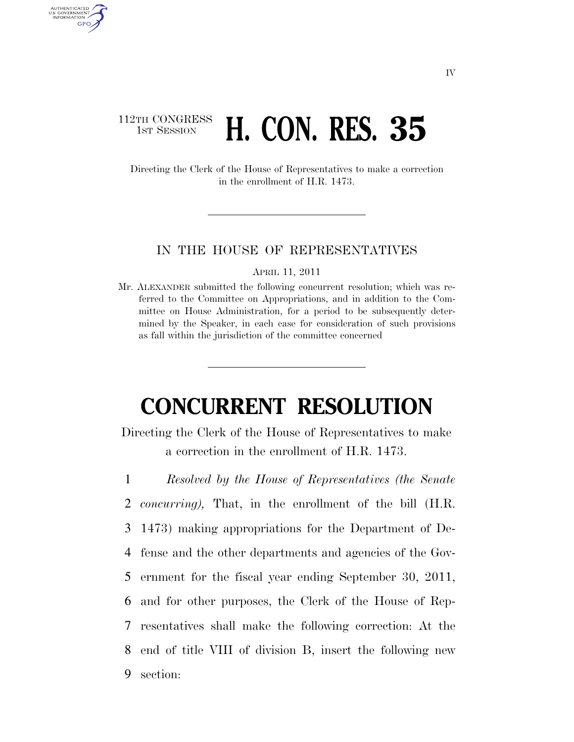## 112TH CONGRESS **1st Session H. CON. RES. 35**

AUTHENTICATED U.S. GOVERNMENT **GPO** 

> Directing the Clerk of the House of Representatives to make a correction in the enrollment of H.R. 1473.

## IN THE HOUSE OF REPRESENTATIVES

APRIL 11, 2011

Mr. ALEXANDER submitted the following concurrent resolution; which was referred to the Committee on Appropriations, and in addition to the Committee on House Administration, for a period to be subsequently determined by the Speaker, in each case for consideration of such provisions as fall within the jurisdiction of the committee concerned

## **CONCURRENT RESOLUTION**

Directing the Clerk of the House of Representatives to make a correction in the enrollment of H.R. 1473.

 *Resolved by the House of Representatives (the Senate concurring),* That, in the enrollment of the bill (H.R. 1473) making appropriations for the Department of De- fense and the other departments and agencies of the Gov- ernment for the fiscal year ending September 30, 2011, and for other purposes, the Clerk of the House of Rep- resentatives shall make the following correction: At the end of title VIII of division B, insert the following new section: